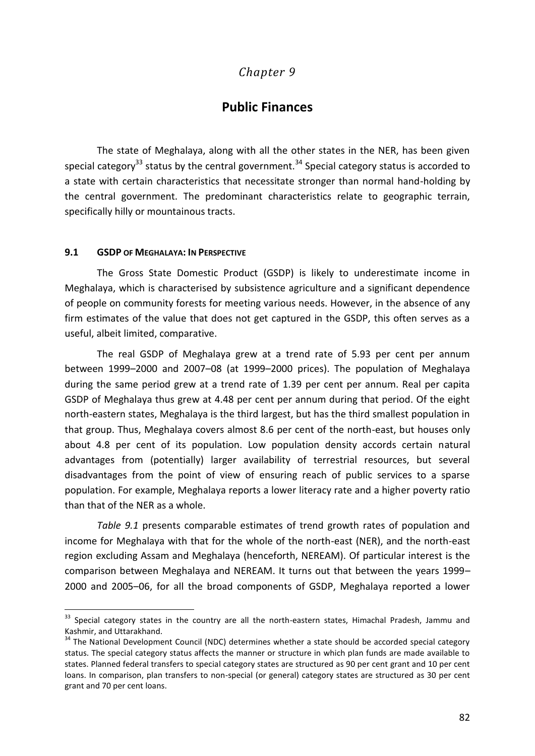## *Chapter 9*

# **Public Finances**

The state of Meghalaya, along with all the other states in the NER, has been given special category<sup>33</sup> status by the central government.<sup>34</sup> Special category status is accorded to a state with certain characteristics that necessitate stronger than normal hand-holding by the central government. The predominant characteristics relate to geographic terrain, specifically hilly or mountainous tracts.

#### **9.1 GSDP OF MEGHALAYA: IN PERSPECTIVE**

<u>.</u>

The Gross State Domestic Product (GSDP) is likely to underestimate income in Meghalaya, which is characterised by subsistence agriculture and a significant dependence of people on community forests for meeting various needs. However, in the absence of any firm estimates of the value that does not get captured in the GSDP, this often serves as a useful, albeit limited, comparative.

The real GSDP of Meghalaya grew at a trend rate of 5.93 per cent per annum between 1999–2000 and 2007–08 (at 1999–2000 prices). The population of Meghalaya during the same period grew at a trend rate of 1.39 per cent per annum. Real per capita GSDP of Meghalaya thus grew at 4.48 per cent per annum during that period. Of the eight north-eastern states, Meghalaya is the third largest, but has the third smallest population in that group. Thus, Meghalaya covers almost 8.6 per cent of the north-east, but houses only about 4.8 per cent of its population. Low population density accords certain natural advantages from (potentially) larger availability of terrestrial resources, but several disadvantages from the point of view of ensuring reach of public services to a sparse population. For example, Meghalaya reports a lower literacy rate and a higher poverty ratio than that of the NER as a whole.

*Table 9.1* presents comparable estimates of trend growth rates of population and income for Meghalaya with that for the whole of the north-east (NER), and the north-east region excluding Assam and Meghalaya (henceforth, NEREAM). Of particular interest is the comparison between Meghalaya and NEREAM. It turns out that between the years 1999– 2000 and 2005–06, for all the broad components of GSDP, Meghalaya reported a lower

<sup>&</sup>lt;sup>33</sup> Special category states in the country are all the north-eastern states, Himachal Pradesh, Jammu and Kashmir, and Uttarakhand.

<sup>&</sup>lt;sup>34</sup> The National Development Council (NDC) determines whether a state should be accorded special category status. The special category status affects the manner or structure in which plan funds are made available to states. Planned federal transfers to special category states are structured as 90 per cent grant and 10 per cent loans. In comparison, plan transfers to non-special (or general) category states are structured as 30 per cent grant and 70 per cent loans.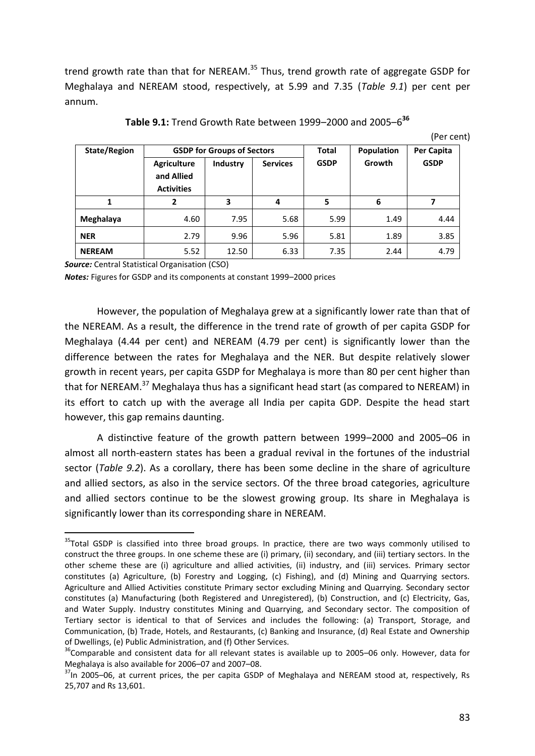trend growth rate than that for NEREAM. $35$  Thus, trend growth rate of aggregate GSDP for Meghalaya and NEREAM stood, respectively, at 5.99 and 7.35 (*Table 9.1*) per cent per annum.

| State/Region  |                                                       | <b>GSDP for Groups of Sectors</b> |                 | Total       | Population | Per Capita  |
|---------------|-------------------------------------------------------|-----------------------------------|-----------------|-------------|------------|-------------|
|               | <b>Agriculture</b><br>and Allied<br><b>Activities</b> | <b>Industry</b>                   | <b>Services</b> | <b>GSDP</b> | Growth     | <b>GSDP</b> |
| 1             |                                                       | 3                                 | 4               | 5           | 6          |             |
| Meghalaya     | 4.60                                                  | 7.95                              | 5.68            | 5.99        | 1.49       | 4.44        |
| <b>NER</b>    | 2.79                                                  | 9.96                              | 5.96            | 5.81        | 1.89       | 3.85        |
| <b>NEREAM</b> | 5.52                                                  | 12.50                             | 6.33            | 7.35        | 2.44       | 4.79        |

| Table 9.1: Trend Growth Rate between 1999–2000 and 2005–6 <sup>36</sup> |  |
|-------------------------------------------------------------------------|--|
|-------------------------------------------------------------------------|--|

*Source:* Central Statistical Organisation (CSO)

<u>.</u>

*Notes:* Figures for GSDP and its components at constant 1999–2000 prices

However, the population of Meghalaya grew at a significantly lower rate than that of the NEREAM. As a result, the difference in the trend rate of growth of per capita GSDP for Meghalaya (4.44 per cent) and NEREAM (4.79 per cent) is significantly lower than the difference between the rates for Meghalaya and the NER. But despite relatively slower growth in recent years, per capita GSDP for Meghalaya is more than 80 per cent higher than that for NEREAM.<sup>37</sup> Meghalaya thus has a significant head start (as compared to NEREAM) in its effort to catch up with the average all India per capita GDP. Despite the head start however, this gap remains daunting.

A distinctive feature of the growth pattern between 1999–2000 and 2005–06 in almost all north-eastern states has been a gradual revival in the fortunes of the industrial sector (*Table 9.2*). As a corollary, there has been some decline in the share of agriculture and allied sectors, as also in the service sectors. Of the three broad categories, agriculture and allied sectors continue to be the slowest growing group. Its share in Meghalaya is significantly lower than its corresponding share in NEREAM.

(Per cent)

<sup>&</sup>lt;sup>35</sup>Total GSDP is classified into three broad groups. In practice, there are two ways commonly utilised to construct the three groups. In one scheme these are (i) primary, (ii) secondary, and (iii) tertiary sectors. In the other scheme these are (i) agriculture and allied activities, (ii) industry, and (iii) services. Primary sector constitutes (a) Agriculture, (b) Forestry and Logging, (c) Fishing), and (d) Mining and Quarrying sectors. Agriculture and Allied Activities constitute Primary sector excluding Mining and Quarrying. Secondary sector constitutes (a) Manufacturing (both Registered and Unregistered), (b) Construction, and (c) Electricity, Gas, and Water Supply. Industry constitutes Mining and Quarrying, and Secondary sector. The composition of Tertiary sector is identical to that of Services and includes the following: (a) Transport, Storage, and Communication, (b) Trade, Hotels, and Restaurants, (c) Banking and Insurance, (d) Real Estate and Ownership of Dwellings, (e) Public Administration, and (f) Other Services.

<sup>&</sup>lt;sup>36</sup>Comparable and consistent data for all relevant states is available up to 2005–06 only. However, data for Meghalaya is also available for 2006–07 and 2007–08.

 $37$ In 2005–06, at current prices, the per capita GSDP of Meghalaya and NEREAM stood at, respectively, Rs 25,707 and Rs 13,601.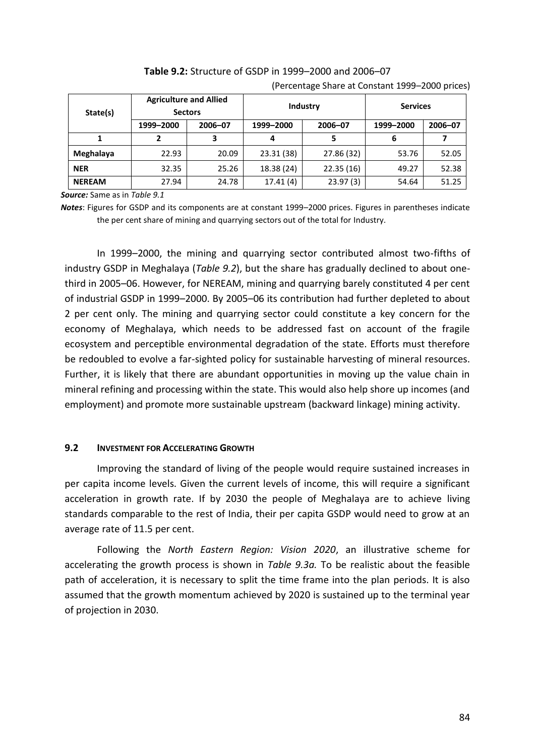| State(s)      | <b>Agriculture and Allied</b><br><b>Sectors</b> |         |            | Industry   | <b>Services</b> |         |  |
|---------------|-------------------------------------------------|---------|------------|------------|-----------------|---------|--|
|               | 1999-2000                                       | 2006-07 | 1999-2000  | 2006-07    | 1999-2000       | 2006-07 |  |
|               | 2                                               | 3       | 4          |            | 6               |         |  |
| Meghalaya     | 22.93                                           | 20.09   | 23.31 (38) | 27.86 (32) | 53.76           | 52.05   |  |
| <b>NER</b>    | 32.35                                           | 25.26   | 18.38 (24) | 22.35(16)  | 49.27           | 52.38   |  |
| <b>NEREAM</b> | 27.94                                           | 24.78   | 17.41(4)   | 23.97(3)   | 54.64           | 51.25   |  |

#### **Table 9.2:** Structure of GSDP in 1999–2000 and 2006–07

(Percentage Share at Constant 1999–2000 prices)

*Source:* Same as in *Table 9.1*

*Notes*: Figures for GSDP and its components are at constant 1999–2000 prices. Figures in parentheses indicate the per cent share of mining and quarrying sectors out of the total for Industry.

In 1999–2000, the mining and quarrying sector contributed almost two-fifths of industry GSDP in Meghalaya (*Table 9.2*), but the share has gradually declined to about onethird in 2005–06. However, for NEREAM, mining and quarrying barely constituted 4 per cent of industrial GSDP in 1999–2000. By 2005–06 its contribution had further depleted to about 2 per cent only. The mining and quarrying sector could constitute a key concern for the economy of Meghalaya, which needs to be addressed fast on account of the fragile ecosystem and perceptible environmental degradation of the state. Efforts must therefore be redoubled to evolve a far-sighted policy for sustainable harvesting of mineral resources. Further, it is likely that there are abundant opportunities in moving up the value chain in mineral refining and processing within the state. This would also help shore up incomes (and employment) and promote more sustainable upstream (backward linkage) mining activity.

#### **9.2 INVESTMENT FOR ACCELERATING GROWTH**

Improving the standard of living of the people would require sustained increases in per capita income levels. Given the current levels of income, this will require a significant acceleration in growth rate. If by 2030 the people of Meghalaya are to achieve living standards comparable to the rest of India, their per capita GSDP would need to grow at an average rate of 11.5 per cent.

Following the *North Eastern Region: Vision 2020*, an illustrative scheme for accelerating the growth process is shown in *Table 9.3a.* To be realistic about the feasible path of acceleration, it is necessary to split the time frame into the plan periods. It is also assumed that the growth momentum achieved by 2020 is sustained up to the terminal year of projection in 2030.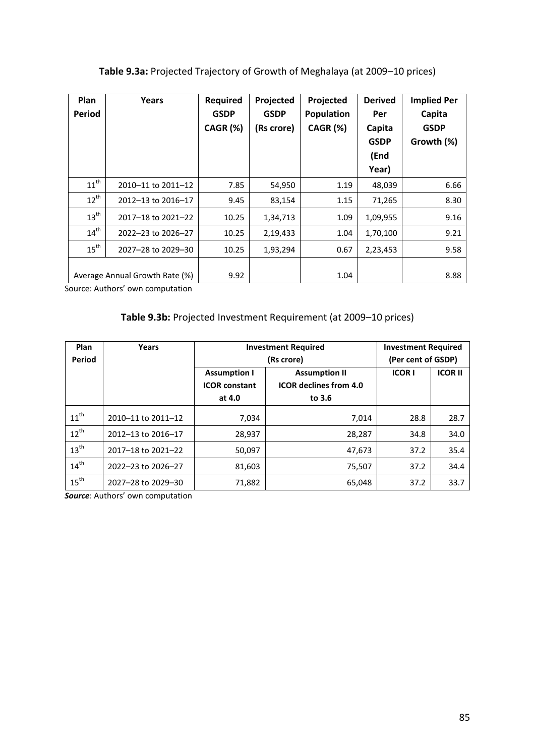| Plan             | Years                          | <b>Required</b> | Projected   | Projected  | <b>Derived</b> | <b>Implied Per</b> |
|------------------|--------------------------------|-----------------|-------------|------------|----------------|--------------------|
| Period           |                                | <b>GSDP</b>     | <b>GSDP</b> | Population | Per            | Capita             |
|                  |                                | <b>CAGR (%)</b> | (Rs crore)  | CAGR (%)   | Capita         | <b>GSDP</b>        |
|                  |                                |                 |             |            | <b>GSDP</b>    | Growth (%)         |
|                  |                                |                 |             |            | (End           |                    |
|                  |                                |                 |             |            | Year)          |                    |
| $11^{\text{th}}$ | 2010-11 to 2011-12             | 7.85            | 54,950      | 1.19       | 48,039         | 6.66               |
| $12^{\text{th}}$ | 2012-13 to 2016-17             | 9.45            | 83,154      | 1.15       | 71,265         | 8.30               |
| $13^{\text{th}}$ | 2017-18 to 2021-22             | 10.25           | 1,34,713    | 1.09       | 1,09,955       | 9.16               |
| $14^{th}$        | 2022-23 to 2026-27             | 10.25           | 2,19,433    | 1.04       | 1,70,100       | 9.21               |
| $15^{\text{th}}$ | 2027-28 to 2029-30             | 10.25           | 1,93,294    | 0.67       | 2,23,453       | 9.58               |
|                  |                                |                 |             |            |                |                    |
|                  | Average Annual Growth Rate (%) | 9.92            |             | 1.04       |                | 8.88               |

**Table 9.3a:** Projected Trajectory of Growth of Meghalaya (at 2009–10 prices)

Source: Authors' own computation

## **Table 9.3b:** Projected Investment Requirement (at 2009–10 prices)

| Plan      | Years              |                                                       | <b>Investment Required</b> | <b>Investment Required</b> |                |  |
|-----------|--------------------|-------------------------------------------------------|----------------------------|----------------------------|----------------|--|
| Period    |                    |                                                       | (Rs crore)                 | (Per cent of GSDP)         |                |  |
|           |                    | <b>Assumption I</b>                                   | <b>Assumption II</b>       | <b>ICORI</b>               | <b>ICOR II</b> |  |
|           |                    | <b>ICOR declines from 4.0</b><br><b>ICOR constant</b> |                            |                            |                |  |
|           |                    | at 4.0                                                | to 3.6                     |                            |                |  |
| $11^{th}$ | 2010-11 to 2011-12 | 7,034                                                 | 7,014                      | 28.8                       | 28.7           |  |
| $12^{th}$ | 2012-13 to 2016-17 | 28,937                                                | 28,287                     | 34.8                       | 34.0           |  |
| $13^{th}$ | 2017-18 to 2021-22 | 50,097                                                | 47,673                     | 37.2                       | 35.4           |  |
| $14^{th}$ | 2022-23 to 2026-27 | 81,603                                                | 75,507                     | 37.2                       | 34.4           |  |
| $15^{th}$ | 2027-28 to 2029-30 | 71,882                                                | 65,048                     | 37.2                       | 33.7           |  |

*Source*: Authors' own computation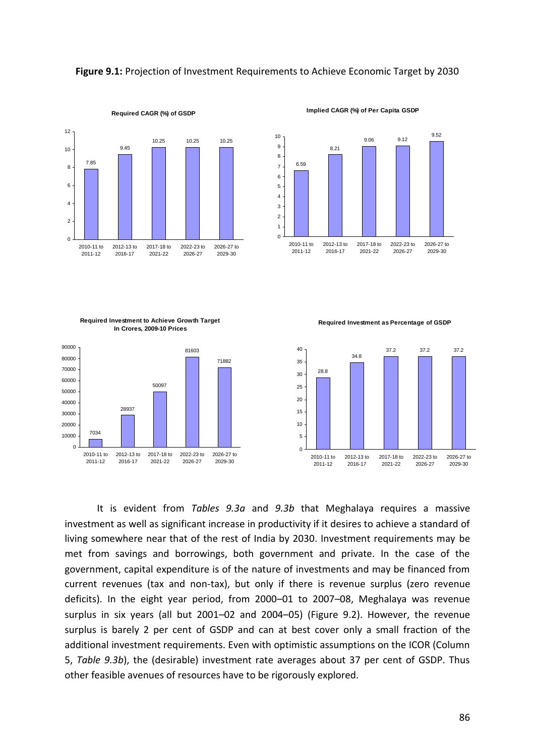



**Implied CAGR (%) of Per Capita GSDP**



**Required Investment to Achieve Growth Target In Crores, 2009-10 Prices**



**Required Investment as Percentage of GSDP**



It is evident from *Tables 9.3a* and *9.3b* that Meghalaya requires a massive investment as well as significant increase in productivity if it desires to achieve a standard of living somewhere near that of the rest of India by 2030. Investment requirements may be met from savings and borrowings, both government and private. In the case of the government, capital expenditure is of the nature of investments and may be financed from current revenues (tax and non-tax), but only if there is revenue surplus (zero revenue deficits). In the eight year period, from 2000–01 to 2007–08, Meghalaya was revenue surplus in six years (all but 2001–02 and 2004–05) (Figure 9.2). However, the revenue surplus is barely 2 per cent of GSDP and can at best cover only a small fraction of the additional investment requirements. Even with optimistic assumptions on the ICOR (Column 5, *Table 9.3b*), the (desirable) investment rate averages about 37 per cent of GSDP. Thus other feasible avenues of resources have to be rigorously explored.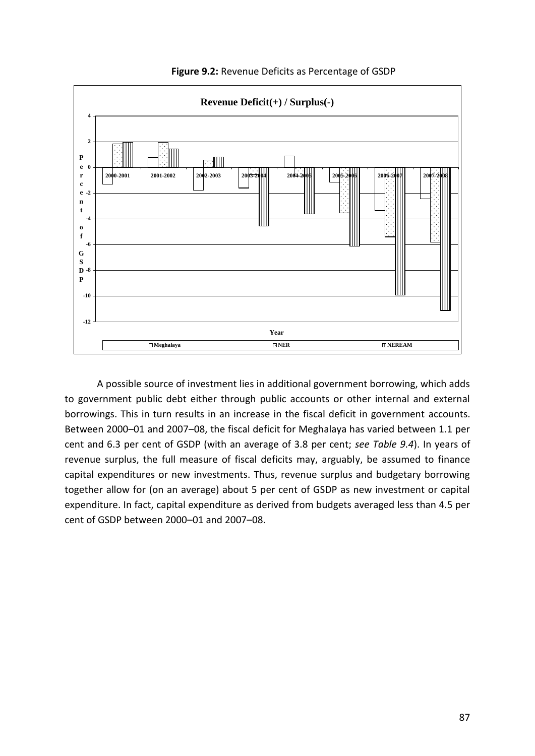

**Figure 9.2:** Revenue Deficits as Percentage of GSDP

A possible source of investment lies in additional government borrowing, which adds to government public debt either through public accounts or other internal and external borrowings. This in turn results in an increase in the fiscal deficit in government accounts. Between 2000–01 and 2007–08, the fiscal deficit for Meghalaya has varied between 1.1 per cent and 6.3 per cent of GSDP (with an average of 3.8 per cent; *see Table 9.4*). In years of revenue surplus, the full measure of fiscal deficits may, arguably, be assumed to finance capital expenditures or new investments. Thus, revenue surplus and budgetary borrowing together allow for (on an average) about 5 per cent of GSDP as new investment or capital expenditure. In fact, capital expenditure as derived from budgets averaged less than 4.5 per cent of GSDP between 2000–01 and 2007–08.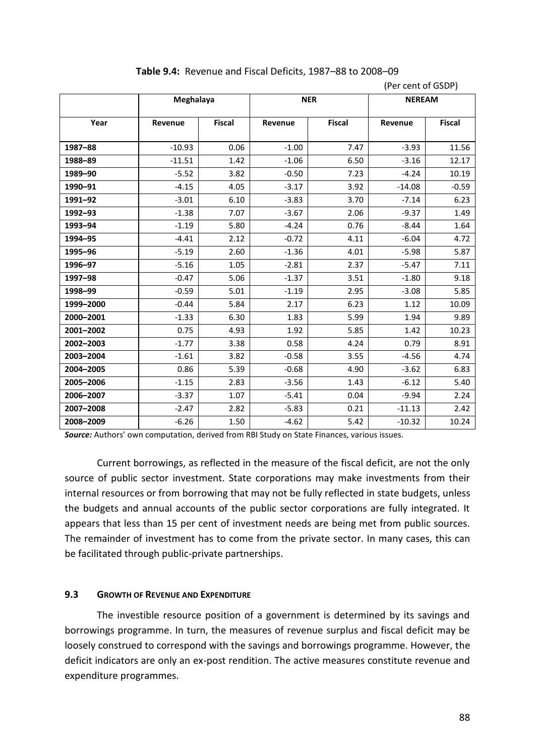|           |           | $\mu$ checked of our $\mu$ |            |               |               |               |
|-----------|-----------|----------------------------|------------|---------------|---------------|---------------|
|           | Meghalaya |                            | <b>NER</b> |               | <b>NEREAM</b> |               |
| Year      | Revenue   | <b>Fiscal</b>              | Revenue    | <b>Fiscal</b> | Revenue       | <b>Fiscal</b> |
| 1987-88   | $-10.93$  | 0.06                       | $-1.00$    | 7.47          | $-3.93$       | 11.56         |
| 1988-89   | $-11.51$  | 1.42                       | $-1.06$    | 6.50          | $-3.16$       | 12.17         |
| 1989-90   | $-5.52$   | 3.82                       | $-0.50$    | 7.23          | $-4.24$       | 10.19         |
| 1990-91   | $-4.15$   | 4.05                       | $-3.17$    | 3.92          | $-14.08$      | $-0.59$       |
| 1991-92   | $-3.01$   | 6.10                       | $-3.83$    | 3.70          | $-7.14$       | 6.23          |
| 1992-93   | $-1.38$   | 7.07                       | $-3.67$    | 2.06          | $-9.37$       | 1.49          |
| 1993-94   | $-1.19$   | 5.80                       | $-4.24$    | 0.76          | $-8.44$       | 1.64          |
| 1994-95   | $-4.41$   | 2.12                       | $-0.72$    | 4.11          | $-6.04$       | 4.72          |
| 1995-96   | $-5.19$   | 2.60                       | $-1.36$    | 4.01          | $-5.98$       | 5.87          |
| 1996-97   | $-5.16$   | 1.05                       | $-2.81$    | 2.37          | $-5.47$       | 7.11          |
| 1997-98   | $-0.47$   | 5.06                       | $-1.37$    | 3.51          | $-1.80$       | 9.18          |
| 1998-99   | $-0.59$   | 5.01                       | $-1.19$    | 2.95          | $-3.08$       | 5.85          |
| 1999-2000 | $-0.44$   | 5.84                       | 2.17       | 6.23          | 1.12          | 10.09         |
| 2000-2001 | $-1.33$   | 6.30                       | 1.83       | 5.99          | 1.94          | 9.89          |
| 2001-2002 | 0.75      | 4.93                       | 1.92       | 5.85          | 1.42          | 10.23         |
| 2002-2003 | $-1.77$   | 3.38                       | 0.58       | 4.24          | 0.79          | 8.91          |
| 2003-2004 | $-1.61$   | 3.82                       | $-0.58$    | 3.55          | $-4.56$       | 4.74          |
| 2004-2005 | 0.86      | 5.39                       | $-0.68$    | 4.90          | $-3.62$       | 6.83          |
| 2005-2006 | $-1.15$   | 2.83                       | $-3.56$    | 1.43          | $-6.12$       | 5.40          |
| 2006-2007 | $-3.37$   | 1.07                       | $-5.41$    | 0.04          | $-9.94$       | 2.24          |
| 2007-2008 | $-2.47$   | 2.82                       | $-5.83$    | 0.21          | $-11.13$      | 2.42          |
| 2008-2009 | $-6.26$   | 1.50                       | $-4.62$    | 5.42          | $-10.32$      | 10.24         |

**Table 9.4:** Revenue and Fiscal Deficits, 1987–88 to 2008–09

(Per cent of GSDP)

*Source:* Authors' own computation, derived from RBI Study on State Finances, various issues.

Current borrowings, as reflected in the measure of the fiscal deficit, are not the only source of public sector investment. State corporations may make investments from their internal resources or from borrowing that may not be fully reflected in state budgets, unless the budgets and annual accounts of the public sector corporations are fully integrated. It appears that less than 15 per cent of investment needs are being met from public sources. The remainder of investment has to come from the private sector. In many cases, this can be facilitated through public-private partnerships.

#### **9.3 GROWTH OF REVENUE AND EXPENDITURE**

The investible resource position of a government is determined by its savings and borrowings programme. In turn, the measures of revenue surplus and fiscal deficit may be loosely construed to correspond with the savings and borrowings programme. However, the deficit indicators are only an ex-post rendition. The active measures constitute revenue and expenditure programmes.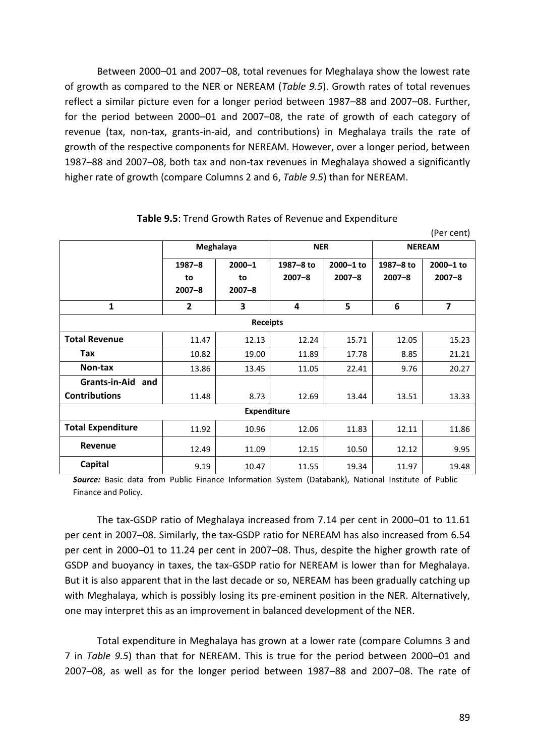Between 2000–01 and 2007–08, total revenues for Meghalaya show the lowest rate of growth as compared to the NER or NEREAM (*Table 9.5*). Growth rates of total revenues reflect a similar picture even for a longer period between 1987–88 and 2007–08. Further, for the period between 2000–01 and 2007–08, the rate of growth of each category of revenue (tax, non-tax, grants-in-aid, and contributions) in Meghalaya trails the rate of growth of the respective components for NEREAM. However, over a longer period, between 1987–88 and 2007–08, both tax and non-tax revenues in Meghalaya showed a significantly higher rate of growth (compare Columns 2 and 6, *Table 9.5*) than for NEREAM.

|                             |                    |                 |            |            |            | (Per cent)              |  |  |
|-----------------------------|--------------------|-----------------|------------|------------|------------|-------------------------|--|--|
|                             |                    | Meghalaya       | <b>NER</b> |            |            | <b>NEREAM</b>           |  |  |
|                             | $1987 - 8$         | $2000 - 1$      | 1987-8 to  | 2000-1 to  | 1987-8 to  | 2000-1 to               |  |  |
|                             | to                 | to              | $2007 - 8$ | $2007 - 8$ | $2007 - 8$ | $2007 - 8$              |  |  |
|                             | $2007 - 8$         | $2007 - 8$      |            |            |            |                         |  |  |
| 1                           | $\overline{2}$     | 3               | 4          | 5          | 6          | $\overline{\mathbf{z}}$ |  |  |
|                             |                    | <b>Receipts</b> |            |            |            |                         |  |  |
| <b>Total Revenue</b>        | 11.47              | 12.13           | 12.24      | 15.71      | 12.05      | 15.23                   |  |  |
| Tax                         | 10.82              | 19.00           | 11.89      | 17.78      | 8.85       | 21.21                   |  |  |
| Non-tax                     | 13.86              | 13.45           | 11.05      | 22.41      | 9.76       | 20.27                   |  |  |
| <b>Grants-in-Aid</b><br>and |                    |                 |            |            |            |                         |  |  |
| <b>Contributions</b>        | 11.48              | 8.73            | 12.69      | 13.44      | 13.51      | 13.33                   |  |  |
|                             | <b>Expenditure</b> |                 |            |            |            |                         |  |  |
| <b>Total Expenditure</b>    | 11.92              | 10.96           | 12.06      | 11.83      | 12.11      | 11.86                   |  |  |
| Revenue                     | 12.49              | 11.09           | 12.15      | 10.50      | 12.12      | 9.95                    |  |  |
| Capital                     | 9.19               | 10.47           | 11.55      | 19.34      | 11.97      | 19.48                   |  |  |

**Table 9.5**: Trend Growth Rates of Revenue and Expenditure

*Source:* Basic data from Public Finance Information System (Databank), National Institute of Public Finance and Policy.

The tax-GSDP ratio of Meghalaya increased from 7.14 per cent in 2000–01 to 11.61 per cent in 2007–08. Similarly, the tax-GSDP ratio for NEREAM has also increased from 6.54 per cent in 2000–01 to 11.24 per cent in 2007–08. Thus, despite the higher growth rate of GSDP and buoyancy in taxes, the tax-GSDP ratio for NEREAM is lower than for Meghalaya. But it is also apparent that in the last decade or so, NEREAM has been gradually catching up with Meghalaya, which is possibly losing its pre-eminent position in the NER. Alternatively, one may interpret this as an improvement in balanced development of the NER.

Total expenditure in Meghalaya has grown at a lower rate (compare Columns 3 and 7 in *Table 9.5*) than that for NEREAM. This is true for the period between 2000–01 and 2007–08, as well as for the longer period between 1987–88 and 2007–08. The rate of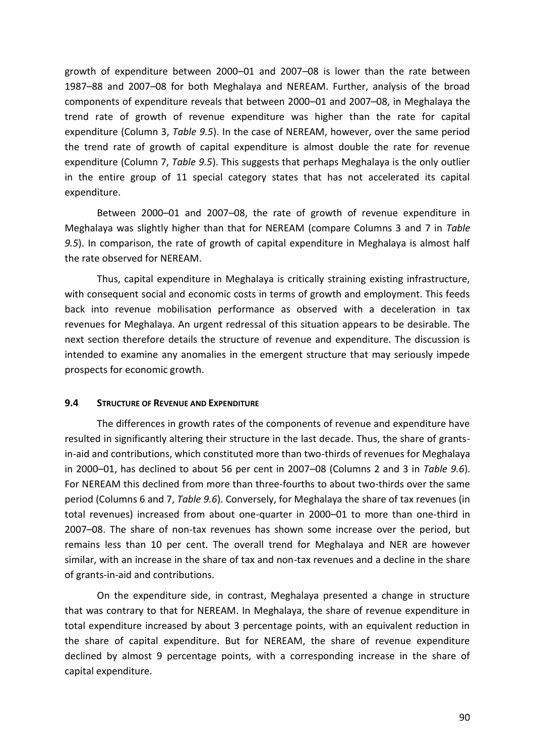growth of expenditure between 2000–01 and 2007–08 is lower than the rate between 1987–88 and 2007–08 for both Meghalaya and NEREAM. Further, analysis of the broad components of expenditure reveals that between 2000–01 and 2007–08, in Meghalaya the trend rate of growth of revenue expenditure was higher than the rate for capital expenditure (Column 3, *Table 9.5*). In the case of NEREAM, however, over the same period the trend rate of growth of capital expenditure is almost double the rate for revenue expenditure (Column 7, *Table 9.5*). This suggests that perhaps Meghalaya is the only outlier in the entire group of 11 special category states that has not accelerated its capital expenditure.

Between 2000–01 and 2007–08, the rate of growth of revenue expenditure in Meghalaya was slightly higher than that for NEREAM (compare Columns 3 and 7 in *Table 9.5*). In comparison, the rate of growth of capital expenditure in Meghalaya is almost half the rate observed for NEREAM.

Thus, capital expenditure in Meghalaya is critically straining existing infrastructure, with consequent social and economic costs in terms of growth and employment. This feeds back into revenue mobilisation performance as observed with a deceleration in tax revenues for Meghalaya. An urgent redressal of this situation appears to be desirable. The next section therefore details the structure of revenue and expenditure. The discussion is intended to examine any anomalies in the emergent structure that may seriously impede prospects for economic growth.

#### **9.4 STRUCTURE OF REVENUE AND EXPENDITURE**

The differences in growth rates of the components of revenue and expenditure have resulted in significantly altering their structure in the last decade. Thus, the share of grantsin-aid and contributions, which constituted more than two-thirds of revenues for Meghalaya in 2000–01, has declined to about 56 per cent in 2007–08 (Columns 2 and 3 in *Table 9.6*). For NEREAM this declined from more than three-fourths to about two-thirds over the same period (Columns 6 and 7, *Table 9.6*). Conversely, for Meghalaya the share of tax revenues (in total revenues) increased from about one-quarter in 2000–01 to more than one-third in 2007–08. The share of non-tax revenues has shown some increase over the period, but remains less than 10 per cent. The overall trend for Meghalaya and NER are however similar, with an increase in the share of tax and non-tax revenues and a decline in the share of grants-in-aid and contributions.

On the expenditure side, in contrast, Meghalaya presented a change in structure that was contrary to that for NEREAM. In Meghalaya, the share of revenue expenditure in total expenditure increased by about 3 percentage points, with an equivalent reduction in the share of capital expenditure. But for NEREAM, the share of revenue expenditure declined by almost 9 percentage points, with a corresponding increase in the share of capital expenditure.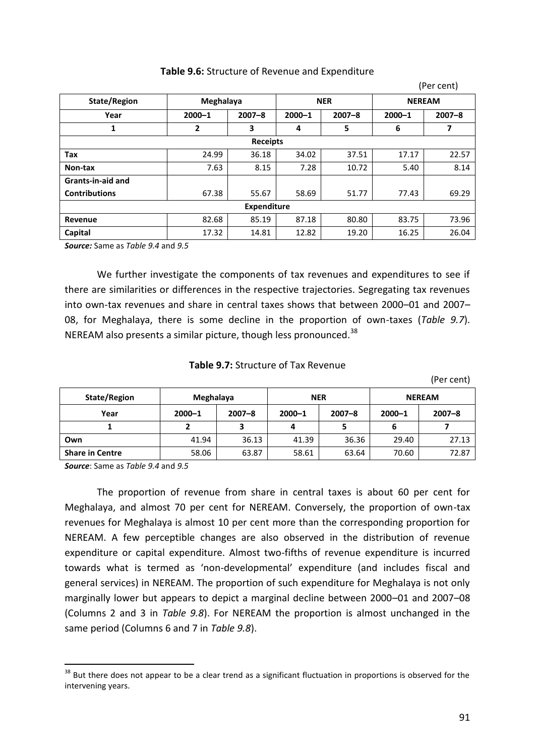| <b>State/Region</b><br>Year | Meghalaya  |                 |            |            |            |               |  |
|-----------------------------|------------|-----------------|------------|------------|------------|---------------|--|
|                             |            |                 |            | <b>NER</b> |            | <b>NEREAM</b> |  |
|                             | $2000 - 1$ | $2007 - 8$      | $2000 - 1$ | $2007 - 8$ | $2000 - 1$ | $2007 - 8$    |  |
| 1                           | 2          | 3               | 4          | 5          | 6          | 7             |  |
|                             |            | <b>Receipts</b> |            |            |            |               |  |
| Tax                         | 24.99      | 36.18           | 34.02      | 37.51      | 17.17      | 22.57         |  |
| Non-tax                     | 7.63       | 8.15            | 7.28       | 10.72      | 5.40       | 8.14          |  |
| <b>Grants-in-aid and</b>    |            |                 |            |            |            |               |  |
| <b>Contributions</b>        | 67.38      | 55.67           | 58.69      | 51.77      | 77.43      | 69.29         |  |
| <b>Expenditure</b>          |            |                 |            |            |            |               |  |
| Revenue                     | 82.68      | 85.19           | 87.18      | 80.80      | 83.75      | 73.96         |  |
| Capital                     | 17.32      | 14.81           | 12.82      | 19.20      | 16.25      | 26.04         |  |

#### **Table 9.6:** Structure of Revenue and Expenditure

*Source:* Same as *Table 9.4* and *9.5*

We further investigate the components of tax revenues and expenditures to see if there are similarities or differences in the respective trajectories. Segregating tax revenues into own-tax revenues and share in central taxes shows that between 2000–01 and 2007– 08, for Meghalaya, there is some decline in the proportion of own-taxes (*Table 9.7*). NEREAM also presents a similar picture, though less pronounced.<sup>38</sup>

#### **Table 9.7:** Structure of Tax Revenue

(Per cent)

| State/Region           | Meghalaya  |            | <b>NER</b> |            | <b>NEREAM</b> |            |
|------------------------|------------|------------|------------|------------|---------------|------------|
| Year                   | $2000 - 1$ | $2007 - 8$ | $2000 - 1$ | $2007 - 8$ | $2000 - 1$    | $2007 - 8$ |
|                        |            |            |            |            | ь             |            |
| Own                    | 41.94      | 36.13      | 41.39      | 36.36      | 29.40         | 27.13      |
| <b>Share in Centre</b> | 58.06      | 63.87      | 58.61      | 63.64      | 70.60         | 72.87      |

*Source*: Same as *Table 9.4* and *9.5*

<u>.</u>

The proportion of revenue from share in central taxes is about 60 per cent for Meghalaya, and almost 70 per cent for NEREAM. Conversely, the proportion of own-tax revenues for Meghalaya is almost 10 per cent more than the corresponding proportion for NEREAM. A few perceptible changes are also observed in the distribution of revenue expenditure or capital expenditure. Almost two-fifths of revenue expenditure is incurred towards what is termed as 'non-developmental' expenditure (and includes fiscal and general services) in NEREAM. The proportion of such expenditure for Meghalaya is not only marginally lower but appears to depict a marginal decline between 2000–01 and 2007–08 (Columns 2 and 3 in *Table 9.8*). For NEREAM the proportion is almost unchanged in the same period (Columns 6 and 7 in *Table 9.8*).

 $38$  But there does not appear to be a clear trend as a significant fluctuation in proportions is observed for the intervening years.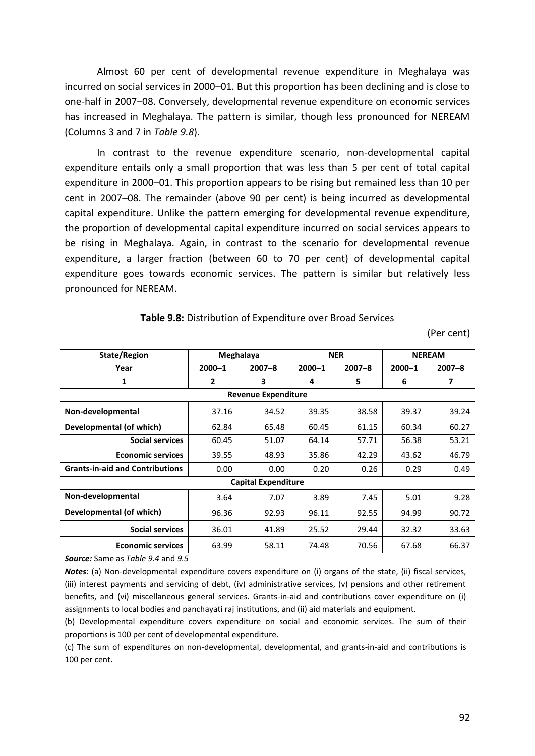Almost 60 per cent of developmental revenue expenditure in Meghalaya was incurred on social services in 2000–01. But this proportion has been declining and is close to one-half in 2007–08. Conversely, developmental revenue expenditure on economic services has increased in Meghalaya. The pattern is similar, though less pronounced for NEREAM (Columns 3 and 7 in *Table 9.8*).

In contrast to the revenue expenditure scenario, non-developmental capital expenditure entails only a small proportion that was less than 5 per cent of total capital expenditure in 2000–01. This proportion appears to be rising but remained less than 10 per cent in 2007–08. The remainder (above 90 per cent) is being incurred as developmental capital expenditure. Unlike the pattern emerging for developmental revenue expenditure, the proportion of developmental capital expenditure incurred on social services appears to be rising in Meghalaya. Again, in contrast to the scenario for developmental revenue expenditure, a larger fraction (between 60 to 70 per cent) of developmental capital expenditure goes towards economic services. The pattern is similar but relatively less pronounced for NEREAM.

(Per cent)

| State/Region                           |            | Meghalaya                  |            | <b>NER</b> |            | <b>NEREAM</b> |
|----------------------------------------|------------|----------------------------|------------|------------|------------|---------------|
| Year                                   | $2000 - 1$ | $2007 - 8$                 | $2000 - 1$ | $2007 - 8$ | $2000 - 1$ | $2007 - 8$    |
| 1                                      | 2          | 3                          | 4          | 5          | 6          | 7             |
|                                        |            | <b>Revenue Expenditure</b> |            |            |            |               |
| Non-developmental                      | 37.16      | 34.52                      | 39.35      | 38.58      | 39.37      | 39.24         |
| Developmental (of which)               | 62.84      | 65.48                      | 60.45      | 61.15      | 60.34      | 60.27         |
| Social services                        | 60.45      | 51.07                      | 64.14      | 57.71      | 56.38      | 53.21         |
| <b>Economic services</b>               | 39.55      | 48.93                      | 35.86      | 42.29      | 43.62      | 46.79         |
| <b>Grants-in-aid and Contributions</b> | 0.00       | 0.00                       | 0.20       | 0.26       | 0.29       | 0.49          |
|                                        |            | <b>Capital Expenditure</b> |            |            |            |               |
| Non-developmental                      | 3.64       | 7.07                       | 3.89       | 7.45       | 5.01       | 9.28          |
| Developmental (of which)               | 96.36      | 92.93                      | 96.11      | 92.55      | 94.99      | 90.72         |
| <b>Social services</b>                 | 36.01      | 41.89                      | 25.52      | 29.44      | 32.32      | 33.63         |
| <b>Economic services</b>               | 63.99      | 58.11                      | 74.48      | 70.56      | 67.68      | 66.37         |

*Source:* Same as *Table 9.4* and *9.5*

*Notes*: (a) Non-developmental expenditure covers expenditure on (i) organs of the state, (ii) fiscal services, (iii) interest payments and servicing of debt, (iv) administrative services, (v) pensions and other retirement benefits, and (vi) miscellaneous general services. Grants-in-aid and contributions cover expenditure on (i) assignments to local bodies and panchayati raj institutions, and (ii) aid materials and equipment.

(b) Developmental expenditure covers expenditure on social and economic services. The sum of their proportions is 100 per cent of developmental expenditure.

(c) The sum of expenditures on non-developmental, developmental, and grants-in-aid and contributions is 100 per cent.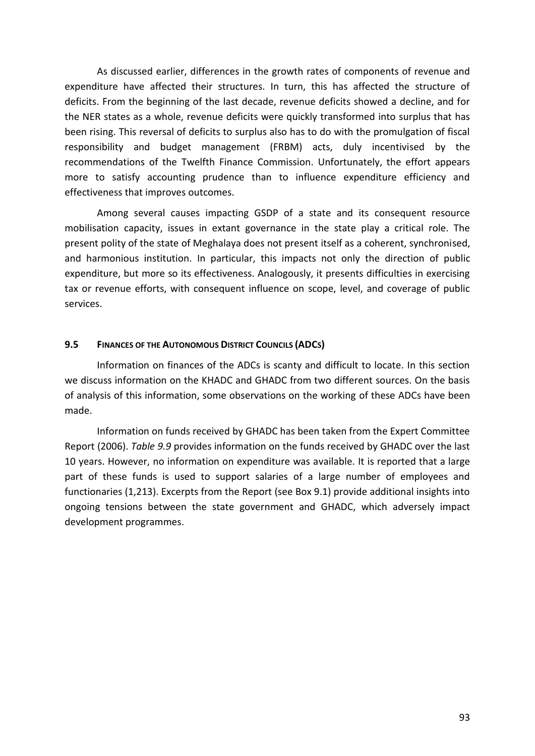As discussed earlier, differences in the growth rates of components of revenue and expenditure have affected their structures. In turn, this has affected the structure of deficits. From the beginning of the last decade, revenue deficits showed a decline, and for the NER states as a whole, revenue deficits were quickly transformed into surplus that has been rising. This reversal of deficits to surplus also has to do with the promulgation of fiscal responsibility and budget management (FRBM) acts, duly incentivised by the recommendations of the Twelfth Finance Commission. Unfortunately, the effort appears more to satisfy accounting prudence than to influence expenditure efficiency and effectiveness that improves outcomes.

Among several causes impacting GSDP of a state and its consequent resource mobilisation capacity, issues in extant governance in the state play a critical role. The present polity of the state of Meghalaya does not present itself as a coherent, synchronised, and harmonious institution. In particular, this impacts not only the direction of public expenditure, but more so its effectiveness. Analogously, it presents difficulties in exercising tax or revenue efforts, with consequent influence on scope, level, and coverage of public services.

#### **9.5 FINANCES OF THE AUTONOMOUS DISTRICT COUNCILS (ADCS)**

Information on finances of the ADCs is scanty and difficult to locate. In this section we discuss information on the KHADC and GHADC from two different sources. On the basis of analysis of this information, some observations on the working of these ADCs have been made.

Information on funds received by GHADC has been taken from the Expert Committee Report (2006). *Table 9.9* provides information on the funds received by GHADC over the last 10 years. However, no information on expenditure was available. It is reported that a large part of these funds is used to support salaries of a large number of employees and functionaries (1,213). Excerpts from the Report (see Box 9.1) provide additional insights into ongoing tensions between the state government and GHADC, which adversely impact development programmes.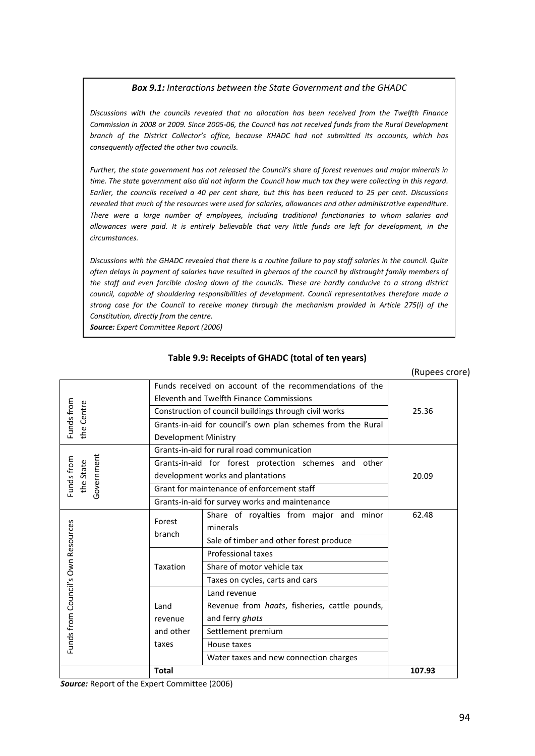#### *Box 9.1: Interactions between the State Government and the GHADC*

*Discussions with the councils revealed that no allocation has been received from the Twelfth Finance Commission in 2008 or 2009. Since 2005-06, the Council has not received funds from the Rural Development branch of the District Collector's office, because KHADC had not submitted its accounts, which has consequently affected the other two councils.* 

*Further, the state government has not released the Council's share of forest revenues and major minerals in time. The state government also did not inform the Council how much tax they were collecting in this regard. Earlier, the councils received a 40 per cent share, but this has been reduced to 25 per cent. Discussions revealed that much of the resources were used for salaries, allowances and other administrative expenditure. There were a large number of employees, including traditional functionaries to whom salaries and allowances were paid. It is entirely believable that very little funds are left for development, in the circumstances.*

*Discussions with the GHADC revealed that there is a routine failure to pay staff salaries in the council. Quite often delays in payment of salaries have resulted in gheraos of the council by distraught family members of the staff and even forcible closing down of the councils. These are hardly conducive to a strong district council, capable of shouldering responsibilities of development. Council representatives therefore made a strong case for the Council to receive money through the mechanism provided in Article 275(i) of the Constitution, directly from the centre.*

*Source: Expert Committee Report (2006)*

|                                    |                                                             | Funds received on account of the recommendations of the |        |
|------------------------------------|-------------------------------------------------------------|---------------------------------------------------------|--------|
|                                    |                                                             | Eleventh and Twelfth Finance Commissions                |        |
| Funds from<br>Centre               | Construction of council buildings through civil works       | 25.36                                                   |        |
|                                    | Grants-in-aid for council's own plan schemes from the Rural |                                                         |        |
| the                                | Development Ministry                                        |                                                         |        |
|                                    |                                                             | Grants-in-aid for rural road communication              |        |
|                                    |                                                             | Grants-in-aid for forest protection schemes and other   |        |
| the State                          |                                                             | development works and plantations                       | 20.09  |
| Government<br>Funds from           |                                                             | Grant for maintenance of enforcement staff              |        |
|                                    | Grants-in-aid for survey works and maintenance              |                                                         |        |
|                                    | Forest                                                      | Share of royalties from major and minor                 | 62.48  |
|                                    | branch                                                      | minerals                                                |        |
|                                    |                                                             | Sale of timber and other forest produce                 |        |
|                                    |                                                             | Professional taxes                                      |        |
|                                    | Taxation                                                    | Share of motor vehicle tax                              |        |
|                                    |                                                             | Taxes on cycles, carts and cars                         |        |
|                                    |                                                             | Land revenue                                            |        |
|                                    | Land                                                        | Revenue from haats, fisheries, cattle pounds,           |        |
|                                    | revenue                                                     | and ferry ghats                                         |        |
| Funds from Council's Own Resources | and other                                                   | Settlement premium                                      |        |
|                                    | taxes                                                       | House taxes                                             |        |
|                                    |                                                             | Water taxes and new connection charges                  |        |
|                                    | <b>Total</b>                                                |                                                         | 107.93 |
|                                    |                                                             |                                                         |        |

#### **Table 9.9: Receipts of GHADC (total of ten years)**

*Source:* Report of the Expert Committee (2006)

(Rupees crore)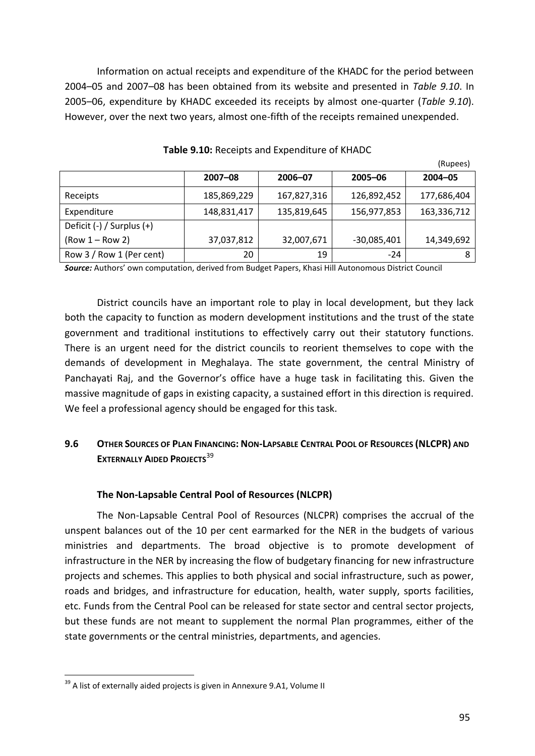Information on actual receipts and expenditure of the KHADC for the period between 2004–05 and 2007–08 has been obtained from its website and presented in *Table 9.10*. In 2005–06, expenditure by KHADC exceeded its receipts by almost one-quarter (*Table 9.10*). However, over the next two years, almost one-fifth of the receipts remained unexpended.

|                           |             |             |               | (Rupees)    |
|---------------------------|-------------|-------------|---------------|-------------|
|                           | $2007 - 08$ | 2006-07     | $2005 - 06$   | $2004 - 05$ |
| Receipts                  | 185,869,229 | 167,827,316 | 126,892,452   | 177,686,404 |
| Expenditure               | 148,831,417 | 135,819,645 | 156,977,853   | 163,336,712 |
| Deficit (-) / Surplus (+) |             |             |               |             |
| $(Row 1 - Row 2)$         | 37,037,812  | 32,007,671  | $-30,085,401$ | 14,349,692  |
| Row 3 / Row 1 (Per cent)  | 20          | 19          | $-24$         |             |

**Table 9.10:** Receipts and Expenditure of KHADC

*Source:* Authors' own computation, derived from Budget Papers, Khasi Hill Autonomous District Council

District councils have an important role to play in local development, but they lack both the capacity to function as modern development institutions and the trust of the state government and traditional institutions to effectively carry out their statutory functions. There is an urgent need for the district councils to reorient themselves to cope with the demands of development in Meghalaya. The state government, the central Ministry of Panchayati Raj, and the Governor's office have a huge task in facilitating this. Given the massive magnitude of gaps in existing capacity, a sustained effort in this direction is required. We feel a professional agency should be engaged for this task.

## 9.6 OTHER SOURCES OF PLAN FINANCING: NON-LAPSABLE CENTRAL POOL OF RESOURCES (NLCPR) AND **EXTERNALLY AIDED PROJECTS**<sup>39</sup>

#### **The Non-Lapsable Central Pool of Resources (NLCPR)**

The Non-Lapsable Central Pool of Resources (NLCPR) comprises the accrual of the unspent balances out of the 10 per cent earmarked for the NER in the budgets of various ministries and departments. The broad objective is to promote development of infrastructure in the NER by increasing the flow of budgetary financing for new infrastructure projects and schemes. This applies to both physical and social infrastructure, such as power, roads and bridges, and infrastructure for education, health, water supply, sports facilities, etc. Funds from the Central Pool can be released for state sector and central sector projects, but these funds are not meant to supplement the normal Plan programmes, either of the state governments or the central ministries, departments, and agencies.

1

 $39$  A list of externally aided projects is given in Annexure 9.A1, Volume II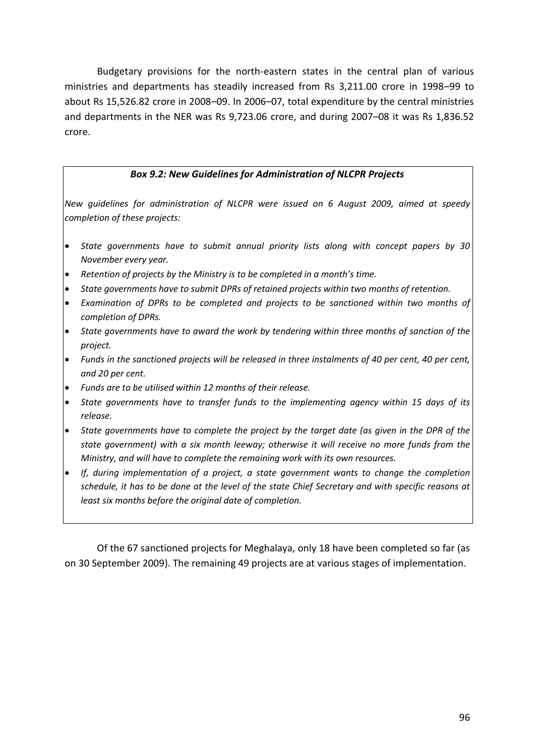Budgetary provisions for the north-eastern states in the central plan of various ministries and departments has steadily increased from Rs 3,211.00 crore in 1998–99 to about Rs 15,526.82 crore in 2008–09. In 2006–07, total expenditure by the central ministries and departments in the NER was Rs 9,723.06 crore, and during 2007–08 it was Rs 1,836.52 crore.

### *Box 9.2: New Guidelines for Administration of NLCPR Projects*

*New guidelines for administration of NLCPR were issued on 6 August 2009, aimed at speedy completion of these projects:* 

- *State governments have to submit annual priority lists along with concept papers by 30 November every year.*
- *Retention of projects by the Ministry is to be completed in a month's time.*
- *State governments have to submit DPRs of retained projects within two months of retention.*
- Examination of DPRs to be completed and projects to be sanctioned within two months of *completion of DPRs.*
- *State governments have to award the work by tendering within three months of sanction of the project.*
- *Funds in the sanctioned projects will be released in three instalments of 40 per cent, 40 per cent, and 20 per cent.*
- *Funds are to be utilised within 12 months of their release.*
- *State governments have to transfer funds to the implementing agency within 15 days of its release.*
- *State governments have to complete the project by the target date (as given in the DPR of the state government) with a six month leeway; otherwise it will receive no more funds from the Ministry, and will have to complete the remaining work with its own resources.*
- *If, during implementation of a project, a state government wants to change the completion schedule, it has to be done at the level of the state Chief Secretary and with specific reasons at least six months before the original date of completion.*

Of the 67 sanctioned projects for Meghalaya, only 18 have been completed so far (as on 30 September 2009). The remaining 49 projects are at various stages of implementation.